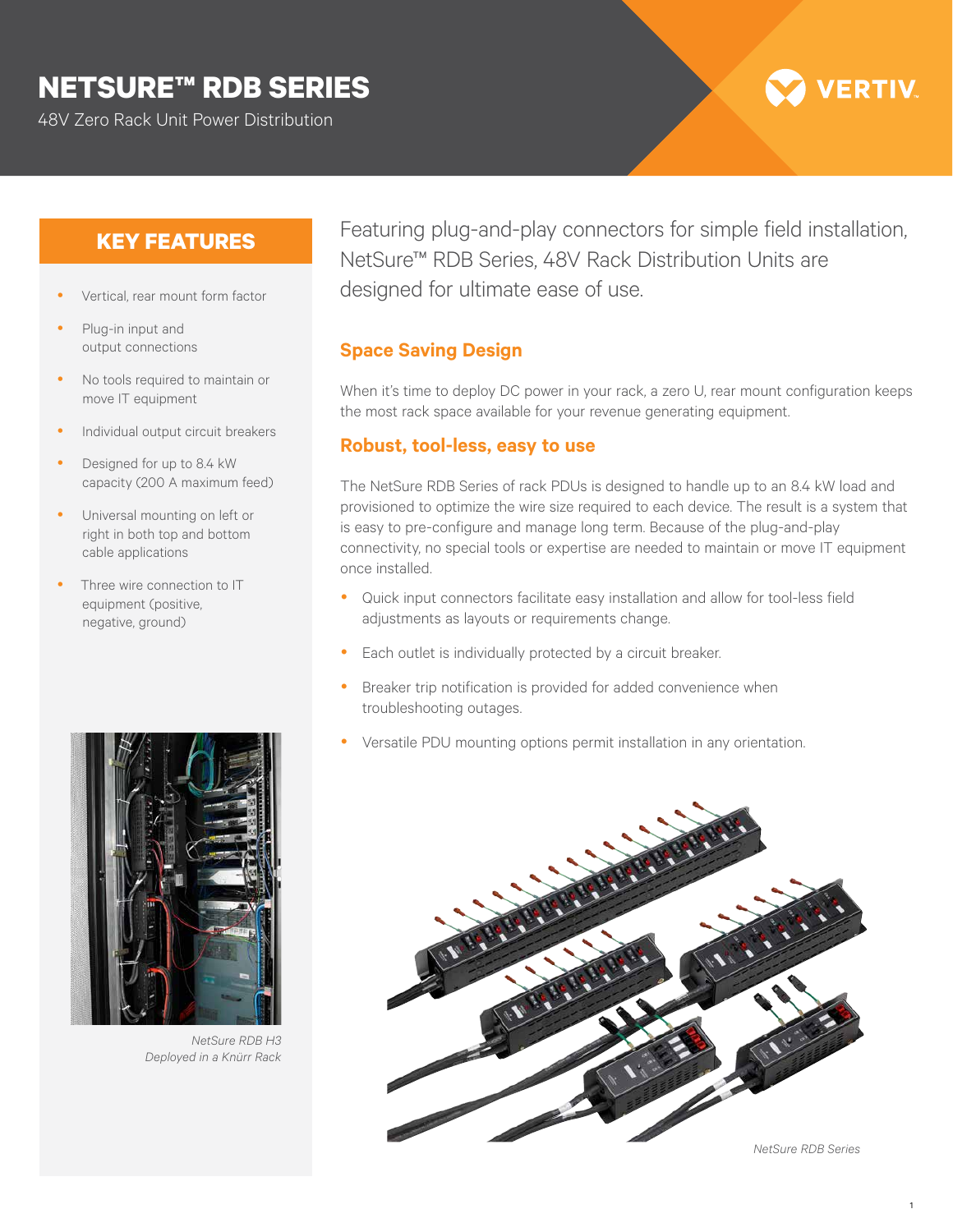## **NETSURE™ RDB SERIES**

48V Zero Rack Unit Power Distribution

# **VERTIV**

#### **KEY FEATURES**

- y Vertical, rear mount form factor
- Plug-in input and output connections
- No tools required to maintain or move IT equipment
- Individual output circuit breakers
- Designed for up to 8.4 kW capacity (200 A maximum feed)
- Universal mounting on left or right in both top and bottom cable applications
- Three wire connection to IT equipment (positive, negative, ground)



*NetSure RDB H3 Deployed in a Knürr Rack*

Featuring plug-and-play connectors for simple field installation, NetSure™ RDB Series, 48V Rack Distribution Units are designed for ultimate ease of use.

#### **Space Saving Design**

When it's time to deploy DC power in your rack, a zero U, rear mount configuration keeps the most rack space available for your revenue generating equipment.

#### **Robust, tool-less, easy to use**

The NetSure RDB Series of rack PDUs is designed to handle up to an 8.4 kW load and provisioned to optimize the wire size required to each device. The result is a system that is easy to pre-configure and manage long term. Because of the plug-and-play connectivity, no special tools or expertise are needed to maintain or move IT equipment once installed.

- Quick input connectors facilitate easy installation and allow for tool-less field adjustments as layouts or requirements change.
- Each outlet is individually protected by a circuit breaker.
- Breaker trip notification is provided for added convenience when troubleshooting outages.
- Versatile PDU mounting options permit installation in any orientation.



*NetSure RDB Series*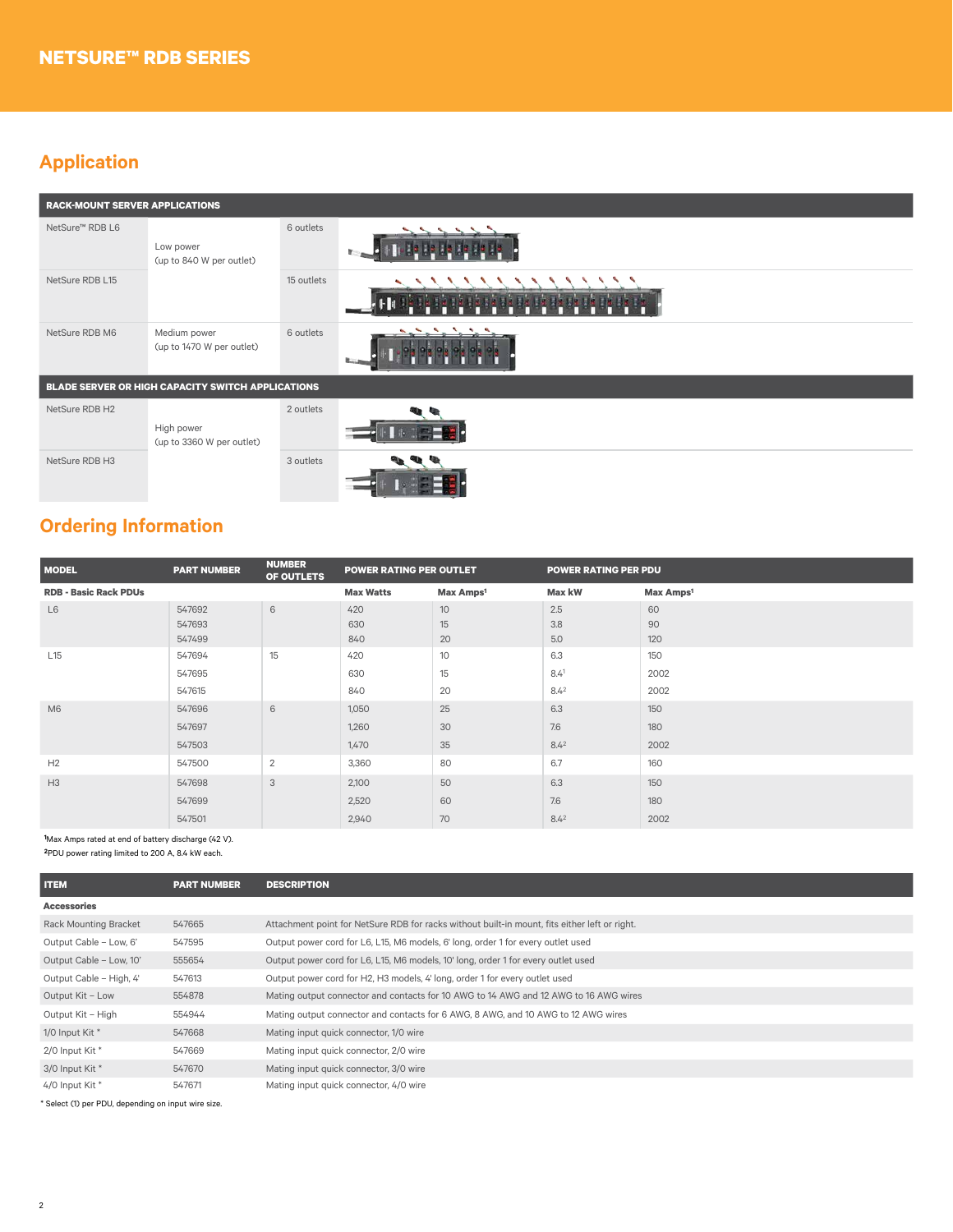### **Application**

| <b>RACK-MOUNT SERVER APPLICATIONS</b>             |                                           |            |  |  |  |  |  |
|---------------------------------------------------|-------------------------------------------|------------|--|--|--|--|--|
| NetSure <sup>™</sup> RDB L6                       | Low power<br>(up to 840 W per outlet)     | 6 outlets  |  |  |  |  |  |
| NetSure RDB L15                                   |                                           | 15 outlets |  |  |  |  |  |
| NetSure RDB M6                                    | Medium power<br>(up to 1470 W per outlet) | 6 outlets  |  |  |  |  |  |
| BLADE SERVER OR HIGH CAPACITY SWITCH APPLICATIONS |                                           |            |  |  |  |  |  |
| NetSure RDB H2                                    | High power<br>(up to 3360 W per outlet)   | 2 outlets  |  |  |  |  |  |
| NetSure RDB H3                                    |                                           | 3 outlets  |  |  |  |  |  |

## **Ordering Information**

| <b>MODEL</b>                 | <b>PART NUMBER</b> | <b>NUMBER</b><br>OF OUTLETS | <b>POWER RATING PER OUTLET</b> |                       | <b>POWER RATING PER PDU</b> |                       |
|------------------------------|--------------------|-----------------------------|--------------------------------|-----------------------|-----------------------------|-----------------------|
| <b>RDB - Basic Rack PDUs</b> |                    |                             | <b>Max Watts</b>               | Max Amps <sup>1</sup> | Max kW                      | Max Amps <sup>1</sup> |
| L6                           | 547692             | 6                           | 420                            | 10                    | 2.5                         | 60                    |
|                              | 547693             |                             | 630                            | 15                    | 3.8                         | 90                    |
|                              | 547499             |                             | 840                            | 20                    | 5.0                         | 120                   |
| L15                          | 547694             | 15                          | 420                            | 10                    | 6.3                         | 150                   |
|                              | 547695             |                             | 630                            | 15                    | 8.41                        | 2002                  |
|                              | 547615             |                             | 840                            | 20                    | $8.4^{2}$                   | 2002                  |
| M6                           | 547696             | 6                           | 1,050                          | 25                    | 6.3                         | 150                   |
|                              | 547697             |                             | 1,260                          | 30                    | 7.6                         | 180                   |
|                              | 547503             |                             | 1,470                          | 35                    | 8.4 <sup>2</sup>            | 2002                  |
| H2                           | 547500             | $\overline{2}$              | 3,360                          | 80                    | 6.7                         | 160                   |
| H3                           | 547698             | 3                           | 2,100                          | 50                    | 6.3                         | 150                   |
|                              | 547699             |                             | 2,520                          | 60                    | 7.6                         | 180                   |
|                              | 547501             |                             | 2,940                          | 70                    | $8.4^{2}$                   | 2002                  |

**1** Max Amps rated at end of battery discharge (42 V).

**2**PDU power rating limited to 200 A, 8.4 kW each.

|        | <b>DESCRIPTION</b>                                                                            |
|--------|-----------------------------------------------------------------------------------------------|
|        |                                                                                               |
| 547665 | Attachment point for NetSure RDB for racks without built-in mount, fits either left or right. |
| 547595 | Output power cord for L6, L15, M6 models, 6' long, order 1 for every outlet used              |
| 555654 | Output power cord for L6, L15, M6 models, 10' long, order 1 for every outlet used             |
| 547613 | Output power cord for H2, H3 models, 4' long, order 1 for every outlet used                   |
| 554878 | Mating output connector and contacts for 10 AWG to 14 AWG and 12 AWG to 16 AWG wires          |
| 554944 | Mating output connector and contacts for 6 AWG, 8 AWG, and 10 AWG to 12 AWG wires             |
| 547668 | Mating input quick connector, 1/0 wire                                                        |
| 547669 | Mating input quick connector, 2/0 wire                                                        |
| 547670 | Mating input quick connector, 3/0 wire                                                        |
| 547671 | Mating input quick connector, 4/0 wire                                                        |
|        |                                                                                               |

\* Select (1) per PDU, depending on input wire size.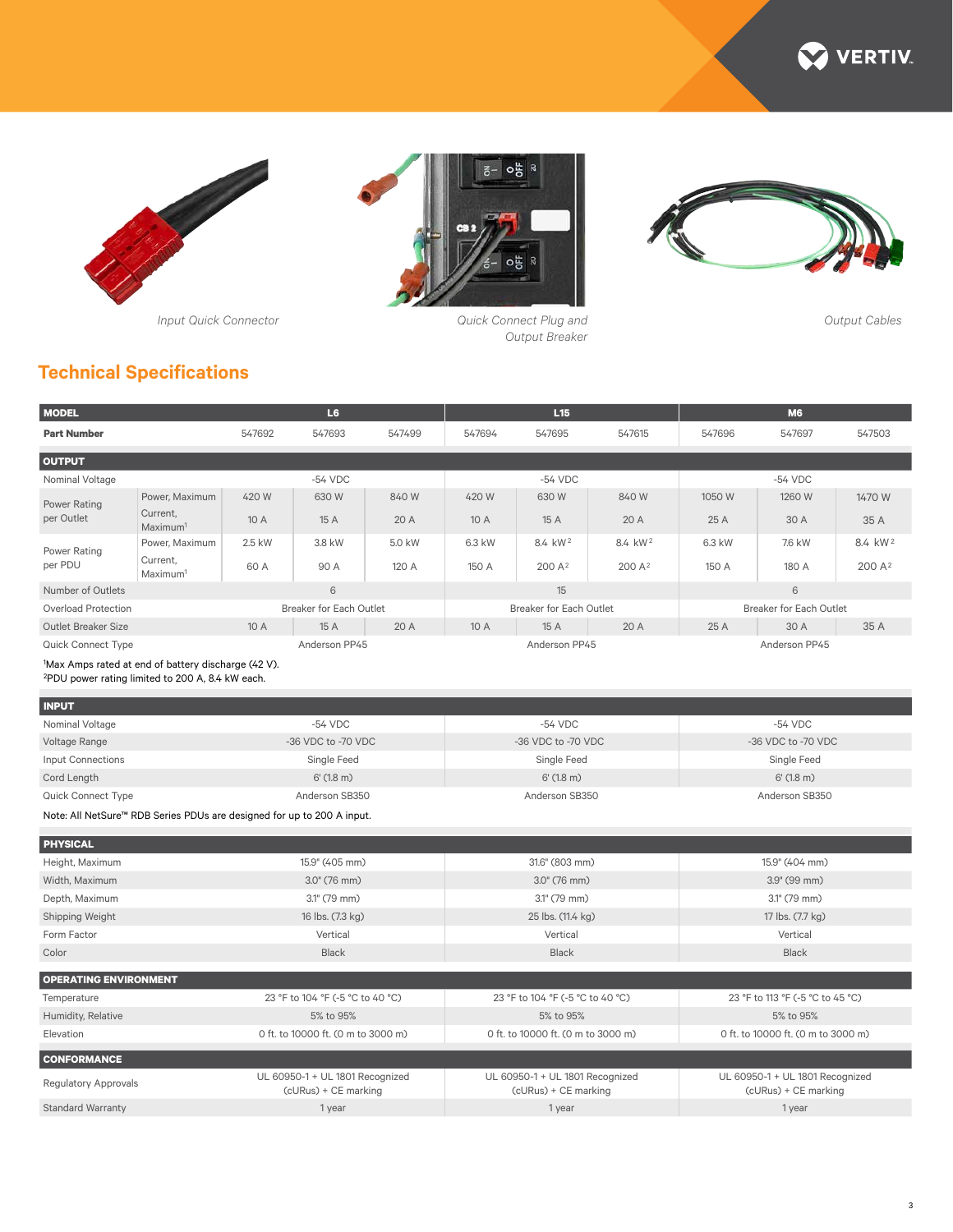







*Output Breaker*



*Output Cables*

## **Technical Specifications**

| <b>MODEL</b>                                                                                                        |                                                                                        | L <sub>6</sub>                     |                                  |                                                         | L15                                |                                  |                                                         | <b>M6</b>                          |                |                     |
|---------------------------------------------------------------------------------------------------------------------|----------------------------------------------------------------------------------------|------------------------------------|----------------------------------|---------------------------------------------------------|------------------------------------|----------------------------------|---------------------------------------------------------|------------------------------------|----------------|---------------------|
| <b>Part Number</b>                                                                                                  |                                                                                        | 547692                             | 547693                           | 547499                                                  | 547694                             | 547695                           | 547615                                                  | 547696                             | 547697         | 547503              |
| <b>OUTPUT</b>                                                                                                       |                                                                                        |                                    |                                  |                                                         |                                    |                                  |                                                         |                                    |                |                     |
| Nominal Voltage                                                                                                     |                                                                                        |                                    | $-54$ VDC                        |                                                         |                                    | $-54$ VDC                        |                                                         |                                    | $-54$ VDC      |                     |
| <b>Power Rating</b>                                                                                                 | Power, Maximum                                                                         | 420 W                              | 630 W                            | 840W                                                    | 420 W                              | 630 W                            | 840W                                                    | 1050 W                             | 1260 W         | 1470 W              |
| per Outlet                                                                                                          | Current,<br>Maximum <sup>1</sup>                                                       | 10 A                               | 15 A                             | 20 A                                                    | 10 A                               | 15 A                             | 20 A                                                    | 25 A                               | 30 A           | 35 A                |
| <b>Power Rating</b>                                                                                                 | Power, Maximum                                                                         | 2.5 kW                             | 3.8 kW                           | 5.0 kW                                                  | 6.3 kW                             | 8.4 kW <sup>2</sup>              | 8.4 kW <sup>2</sup>                                     | 6.3 kW                             | 7.6 kW         | 8.4 kW <sup>2</sup> |
| per PDU                                                                                                             | Current,<br>Maximum <sup>1</sup>                                                       | 60 A                               | 90 A                             | 120 A                                                   | 150 A                              | 200 A <sup>2</sup>               | 200 A <sup>2</sup>                                      | 150 A                              | 180 A          | 200 A <sup>2</sup>  |
| Number of Outlets                                                                                                   |                                                                                        |                                    | 6                                |                                                         |                                    | 15                               |                                                         |                                    | 6              |                     |
| <b>Overload Protection</b>                                                                                          |                                                                                        |                                    | <b>Breaker for Each Outlet</b>   |                                                         | <b>Breaker for Each Outlet</b>     |                                  |                                                         | <b>Breaker for Each Outlet</b>     |                |                     |
| <b>Outlet Breaker Size</b>                                                                                          |                                                                                        | 10 A                               | 15 A                             | 20 A                                                    | 10 A                               | 15 A                             | 20A                                                     | 25 A                               | 30 A           | 35 A                |
| <b>Quick Connect Type</b>                                                                                           |                                                                                        |                                    | Anderson PP45                    |                                                         |                                    | Anderson PP45                    |                                                         |                                    | Anderson PP45  |                     |
| 1Max Amps rated at end of battery discharge (42 V).<br><sup>2</sup> PDU power rating limited to 200 A, 8.4 kW each. |                                                                                        |                                    |                                  |                                                         |                                    |                                  |                                                         |                                    |                |                     |
| <b>INPUT</b>                                                                                                        |                                                                                        |                                    |                                  |                                                         |                                    |                                  |                                                         |                                    |                |                     |
| Nominal Voltage                                                                                                     |                                                                                        |                                    | $-54$ VDC                        |                                                         | $-54$ VDC                          |                                  |                                                         | $-54$ VDC                          |                |                     |
| Voltage Range                                                                                                       | -36 VDC to -70 VDC                                                                     |                                    |                                  | -36 VDC to -70 VDC                                      |                                    |                                  | -36 VDC to -70 VDC                                      |                                    |                |                     |
| <b>Input Connections</b>                                                                                            |                                                                                        | Single Feed                        |                                  |                                                         | Single Feed                        |                                  |                                                         | Single Feed                        |                |                     |
| Cord Length                                                                                                         |                                                                                        | $6'$ (1.8 m)                       |                                  |                                                         | $6'$ (1.8 m)                       |                                  |                                                         | $6'$ (1.8 m)                       |                |                     |
| Anderson SB350<br>Quick Connect Type                                                                                |                                                                                        |                                    | Anderson SB350                   |                                                         |                                    | Anderson SB350                   |                                                         |                                    |                |                     |
|                                                                                                                     | Note: All NetSure™ RDB Series PDUs are designed for up to 200 A input.                 |                                    |                                  |                                                         |                                    |                                  |                                                         |                                    |                |                     |
| <b>PHYSICAL</b>                                                                                                     |                                                                                        |                                    |                                  |                                                         |                                    |                                  |                                                         |                                    |                |                     |
| Height, Maximum                                                                                                     |                                                                                        |                                    | 15.9" (405 mm)                   |                                                         |                                    | 31.6" (803 mm)                   |                                                         |                                    | 15.9" (404 mm) |                     |
| Width, Maximum                                                                                                      | 3.0" (76 mm)                                                                           |                                    | 3.0" (76 mm)                     |                                                         |                                    | 3.9" (99 mm)                     |                                                         |                                    |                |                     |
| Depth, Maximum                                                                                                      |                                                                                        | 3.1" (79 mm)                       |                                  |                                                         | $3.1^{\circ}$ (79 mm)              |                                  |                                                         | 3.1" (79 mm)                       |                |                     |
| Shipping Weight                                                                                                     | 16 lbs. (7.3 kg)                                                                       |                                    |                                  | 25 lbs. (11.4 kg)                                       |                                    |                                  | 17 lbs. (7.7 kg)                                        |                                    |                |                     |
| Form Factor                                                                                                         |                                                                                        | Vertical                           |                                  |                                                         | Vertical                           |                                  |                                                         | Vertical                           |                |                     |
| Color                                                                                                               | <b>Black</b><br><b>Black</b><br><b>Black</b>                                           |                                    |                                  |                                                         |                                    |                                  |                                                         |                                    |                |                     |
| <b>OPERATING ENVIRONMENT</b>                                                                                        |                                                                                        |                                    |                                  |                                                         |                                    |                                  |                                                         |                                    |                |                     |
| 23 °F to 104 °F (-5 °C to 40 °C)<br>Temperature                                                                     |                                                                                        |                                    | 23 °F to 104 °F (-5 °C to 40 °C) |                                                         |                                    | 23 °F to 113 °F (-5 °C to 45 °C) |                                                         |                                    |                |                     |
| Humidity, Relative                                                                                                  |                                                                                        | 5% to 95%                          |                                  |                                                         | 5% to 95%                          |                                  |                                                         | 5% to 95%                          |                |                     |
| Elevation                                                                                                           |                                                                                        | 0 ft. to 10000 ft. (0 m to 3000 m) |                                  |                                                         | 0 ft. to 10000 ft. (0 m to 3000 m) |                                  |                                                         | 0 ft. to 10000 ft. (0 m to 3000 m) |                |                     |
| <b>CONFORMANCE</b>                                                                                                  |                                                                                        |                                    |                                  |                                                         |                                    |                                  |                                                         |                                    |                |                     |
|                                                                                                                     | UL 60950-1 + UL 1801 Recognized<br><b>Regulatory Approvals</b><br>(cURus) + CE marking |                                    |                                  | UL 60950-1 + UL 1801 Recognized<br>(cURus) + CE marking |                                    |                                  | UL 60950-1 + UL 1801 Recognized<br>(cURus) + CE marking |                                    |                |                     |
| <b>Standard Warranty</b>                                                                                            | 1 year                                                                                 |                                    |                                  |                                                         | 1 year                             |                                  |                                                         | 1 year                             |                |                     |